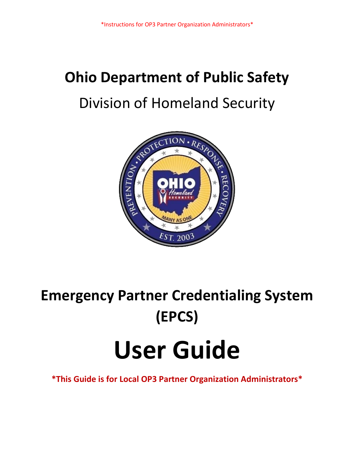## **Ohio Department of Public Safety** Division of Homeland Security



# **Emergency Partner Credentialing System (EPCS) User Guide**

**\*This Guide is for Local OP3 Partner Organization Administrators\***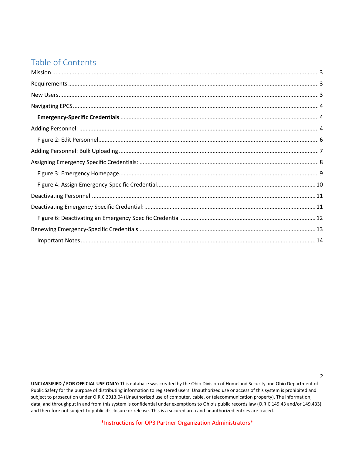## Table of Contents

**UNCLASSIFIED / FOR OFFICIAL USE ONLY:** This database was created by the Ohio Division of Homeland Security and Ohio Department of Public Safety for the purpose of distributing information to registered users. Unauthorized use or access of this system is prohibited and subject to prosecution under O.R.C 2913.04 (Unauthorized use of computer, cable, or telecommunication property). The information, data, and throughput in and from this system is confidential under exemptions to Ohio's public records law (O.R.C 149.43 and/or 149.433) and therefore not subject to public disclosure or release. This is a secured area and unauthorized entries are traced.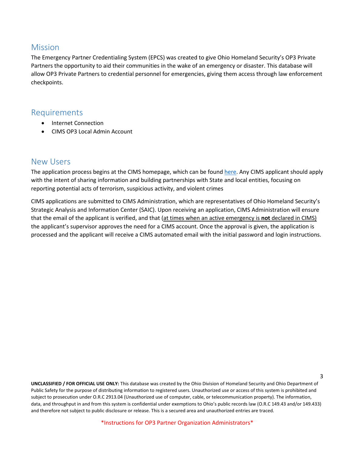#### <span id="page-2-0"></span>Mission

The Emergency Partner Credentialing System (EPCS) was created to give Ohio Homeland Security's OP3 Private Partners the opportunity to aid their communities in the wake of an emergency or disaster. This database will allow OP3 Private Partners to credential personnel for emergencies, giving them access through law enforcement checkpoints.

#### <span id="page-2-1"></span>Requirements

- Internet Connection
- CIMS OP3 Local Admin Account

#### <span id="page-2-2"></span>New Users

The application process begins at the CIMS homepage, which can be foun[d here.](https://services.dps.ohio.gov/CIMS/Public/Login.aspx?ReturnUrl=%2fCIMS%2fSecure%2fAdmin%2fContacts%2fAddEditContact.aspx%3fUser%3d1&User=1) Any CIMS applicant should apply with the intent of sharing information and building partnerships with State and local entities, focusing on reporting potential acts of terrorism, suspicious activity, and violent crimes

CIMS applications are submitted to CIMS Administration, which are representatives of Ohio Homeland Security's Strategic Analysis and Information Center (SAIC). Upon receiving an application, CIMS Administration will ensure that the email of the applicant is verified, and that (at times when an active emergency is **not** declared in CIMS) the applicant's supervisor approves the need for a CIMS account. Once the approval is given, the application is processed and the applicant will receive a CIMS automated email with the initial password and login instructions.

**UNCLASSIFIED / FOR OFFICIAL USE ONLY:** This database was created by the Ohio Division of Homeland Security and Ohio Department of Public Safety for the purpose of distributing information to registered users. Unauthorized use or access of this system is prohibited and subject to prosecution under O.R.C 2913.04 (Unauthorized use of computer, cable, or telecommunication property). The information, data, and throughput in and from this system is confidential under exemptions to Ohio's public records law (O.R.C 149.43 and/or 149.433) and therefore not subject to public disclosure or release. This is a secured area and unauthorized entries are traced.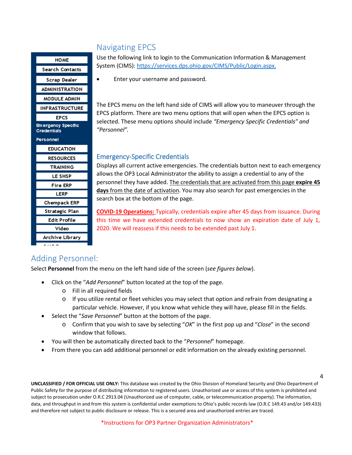#### **HOME** Search Contacts Scrap Dealer **ADMINISTRATION** MODULE ADMIN **INFRASTRUCTURE EPCS Emergency Specific Credentials** Personnel **EDUCATION RESOURCES TRAINING** LE SHSP **Fire ERP LERP** Chempack ERP Strategic Plan **Edit Profile** Video Archive Library

## <span id="page-3-0"></span>Navigating EPCS

Use the following link to login to the Communication Information & Management System (CIMS): [https://services.dps.ohio.gov/CIMS/Public/Login.aspx.](https://services.dps.ohio.gov/CIMS/Public/Login.aspx)

• Enter your username and password.

The EPCS menu on the left hand side of CIMS will allow you to maneuver through the EPCS platform. There are two menu options that will open when the EPCS option is selected. These menu options should include *"Emergency Specific Credentials" and "Personnel".*

#### <span id="page-3-1"></span>Emergency-Specific Credentials

Displays all current active emergencies. The credentials button next to each emergency allows the OP3 Local Administrator the ability to assign a credential to any of the personnel they have added. The credentials that are activated from this page **expire 45 days** from the date of activation. You may also search for past emergencies in the search box at the bottom of the page.

**COVID-19 Operations:** Typically, credentials expire after 45 days from issuance. During this time we have extended credentials to now show an expiration date of July 1, 2020. We will reassess if this needs to be extended past July 1.

## <span id="page-3-2"></span>Adding Personnel:

Select **Personnel** from the menu on the left hand side of the screen (*see figures below*).

- Click on the "*Add Personnel*" button located at the top of the page.
	- o Fill in all required fields
	- $\circ$  If you utilize rental or fleet vehicles you may select that option and refrain from designating a particular vehicle. However, if you know what vehicle they will have, please fill in the fields.
- Select the "*Save Personnel*" button at the bottom of the page.
	- o Confirm that you wish to save by selecting "*OK*" in the first pop up and "*Close*" in the second window that follows.
- You will then be automatically directed back to the "*Personnel*" homepage.
- From there you can add additional personnel or edit information on the already existing personnel.

**UNCLASSIFIED / FOR OFFICIAL USE ONLY:** This database was created by the Ohio Division of Homeland Security and Ohio Department of Public Safety for the purpose of distributing information to registered users. Unauthorized use or access of this system is prohibited and subject to prosecution under O.R.C 2913.04 (Unauthorized use of computer, cable, or telecommunication property). The information, data, and throughput in and from this system is confidential under exemptions to Ohio's public records law (O.R.C 149.43 and/or 149.433) and therefore not subject to public disclosure or release. This is a secured area and unauthorized entries are traced.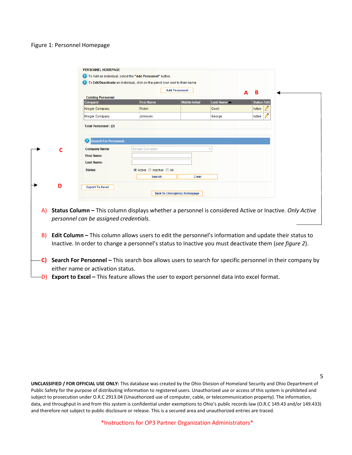#### Figure 1: Personnel Homepage

|    |   | <b>PERSONNEL HOMEPAGE</b>                 |                                                                                                          |                                   |                  |   |                    |  |  |
|----|---|-------------------------------------------|----------------------------------------------------------------------------------------------------------|-----------------------------------|------------------|---|--------------------|--|--|
|    |   |                                           | To Add an individual, select the "Add Personnel" button.                                                 |                                   |                  |   |                    |  |  |
|    |   |                                           | To Edit/Deactivate an individual, click on the pencil icon next to their name                            |                                   |                  |   |                    |  |  |
|    |   |                                           |                                                                                                          | <b>Add Personnel</b>              |                  | A | B                  |  |  |
|    |   | <b>Existing Personnel</b>                 |                                                                                                          |                                   |                  |   |                    |  |  |
|    |   | Company                                   | <b>First Name</b>                                                                                        | <b>Middle Initial</b>             | <b>Last Name</b> |   | <b>Status Edit</b> |  |  |
|    |   | <b>Kroger Company</b>                     | Robin                                                                                                    |                                   | Cook             |   | Active             |  |  |
|    |   | <b>Kroger Company</b>                     | Johnson                                                                                                  |                                   | George           |   | Active             |  |  |
|    |   | <b>Total Personnel: (2)</b>               |                                                                                                          |                                   |                  |   |                    |  |  |
|    |   | $\bullet$<br><b>Search For Personnel.</b> |                                                                                                          |                                   |                  |   |                    |  |  |
|    |   | <b>Company Name</b>                       | <b>Kroger Company</b>                                                                                    |                                   |                  |   |                    |  |  |
|    |   | <b>First Name</b>                         |                                                                                                          |                                   |                  |   |                    |  |  |
|    |   | <b>Last Name:</b>                         |                                                                                                          |                                   |                  |   |                    |  |  |
|    |   | Status:                                   | Active Inactive All                                                                                      |                                   |                  |   |                    |  |  |
|    |   |                                           | <b>Search</b>                                                                                            | Clear                             |                  |   |                    |  |  |
|    |   |                                           |                                                                                                          |                                   |                  |   |                    |  |  |
|    | D | <b>Export To Excel</b>                    |                                                                                                          |                                   |                  |   |                    |  |  |
|    |   |                                           |                                                                                                          | <b>Back to Emergency Homepage</b> |                  |   |                    |  |  |
|    |   |                                           |                                                                                                          |                                   |                  |   |                    |  |  |
| A) |   |                                           | Status Column - This column displays whether a personnel is considered Active or Inactive. Only Active   |                                   |                  |   |                    |  |  |
|    |   | personnel can be assigned credentials.    |                                                                                                          |                                   |                  |   |                    |  |  |
|    |   |                                           |                                                                                                          |                                   |                  |   |                    |  |  |
| B) |   |                                           | Edit Column - This column allows users to edit the personnel's information and update their status to    |                                   |                  |   |                    |  |  |
|    |   |                                           |                                                                                                          |                                   |                  |   |                    |  |  |
|    |   |                                           | Inactive. In order to change a personnel's status to Inactive you must deactivate them (see figure 2).   |                                   |                  |   |                    |  |  |
|    |   |                                           |                                                                                                          |                                   |                  |   |                    |  |  |
| C) |   |                                           | Search For Personnel - This search box allows users to search for specific personnel in their company by |                                   |                  |   |                    |  |  |
|    |   | either name or activation status.         |                                                                                                          |                                   |                  |   |                    |  |  |

**D) Export to Excel –** This feature allows the user to export personnel data into excel format.

**UNCLASSIFIED / FOR OFFICIAL USE ONLY:** This database was created by the Ohio Division of Homeland Security and Ohio Department of Public Safety for the purpose of distributing information to registered users. Unauthorized use or access of this system is prohibited and subject to prosecution under O.R.C 2913.04 (Unauthorized use of computer, cable, or telecommunication property). The information, data, and throughput in and from this system is confidential under exemptions to Ohio's public records law (O.R.C 149.43 and/or 149.433) and therefore not subject to public disclosure or release. This is a secured area and unauthorized entries are traced.

5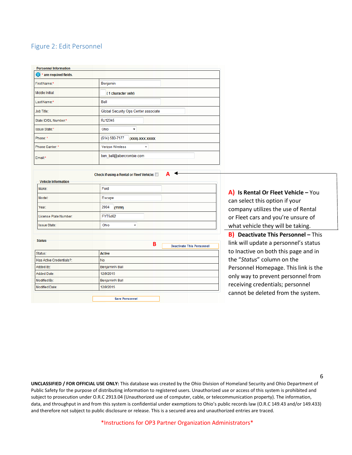#### <span id="page-5-0"></span>Figure 2: Edit Personnel

| <b>Personnel Information</b> |                                      |
|------------------------------|--------------------------------------|
| * are required fields.       |                                      |
| First Name:*                 | Benjamin                             |
| Middle Initial:              | (1 character only)                   |
| Last Name:*                  | Ball                                 |
| <b>Job Title:</b>            | Global Security Ops Center associate |
| State ID/DL Number:*         | RJ12345                              |
| Issue State:*                | Ohio<br>▼                            |
| Phone: *                     | (614) 580-7177<br>(XXX)-XXX-XXXX     |
| Phone Carrier: *             | <b>Verizon Wireless</b><br>۰         |
| Email:*                      | ben ball@abercrombie.com             |

Check if using a Rental or Fleet Vehicle: **A**

| Make:                 | Ford           |
|-----------------------|----------------|
| Model:                | Escape         |
| Year:                 | 2004<br>(YYYY) |
| License Plate Number: | <b>FYT5462</b> |
| <b>Issue State:</b>   | Ohio           |

| <b>Status</b>            |                       | В | <b>Deactivate This Personnel</b> |
|--------------------------|-----------------------|---|----------------------------------|
| Status:                  | <b>Active</b>         |   |                                  |
| Has Active Credentials?: | <b>No</b>             |   |                                  |
| Added By:                | <b>BenjaminN Ball</b> |   |                                  |
| Added Date:              | 12/9/2015             |   |                                  |
| Modified By:             | <b>BenjaminN</b> Ball |   |                                  |
| Modified Date:           | 12/9/2015             |   |                                  |

**A) Is Rental Or Fleet Vehicle –** You can select this option if your company utilizes the use of Rental or Fleet cars and you're unsure of what vehicle they will be taking. **B) Deactivate This Personnel –** This

link will update a personnel's status to Inactive on both this page and in the "*Status*" column on the Personnel Homepage. This link is the only way to prevent personnel from receiving credentials; personnel cannot be deleted from the system.

**UNCLASSIFIED / FOR OFFICIAL USE ONLY:** This database was created by the Ohio Division of Homeland Security and Ohio Department of Public Safety for the purpose of distributing information to registered users. Unauthorized use or access of this system is prohibited and subject to prosecution under O.R.C 2913.04 (Unauthorized use of computer, cable, or telecommunication property). The information, data, and throughput in and from this system is confidential under exemptions to Ohio's public records law (O.R.C 149.43 and/or 149.433) and therefore not subject to public disclosure or release. This is a secured area and unauthorized entries are traced.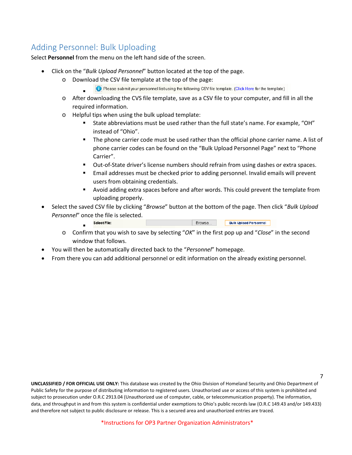## <span id="page-6-0"></span>Adding Personnel: Bulk Uploading

Select **Personnel** from the menu on the left hand side of the screen.

- Click on the "*Bulk Upload Personnel*" button located at the top of the page.
	- o Download the CSV file template at the top of the page:
		- O Please submit your personnel list using the following CSV file template. (Click Here for the template)
	- . o After downloading the CVS file template, save as a CSV file to your computer, and fill in all the required information.
	- o Helpful tips when using the bulk upload template:
		- State abbreviations must be used rather than the full state's name. For example, "OH" instead of "Ohio".
		- The phone carrier code must be used rather than the official phone carrier name. A list of phone carrier codes can be found on the "Bulk Upload Personnel Page" next to "Phone Carrier".
		- Out-of-State driver's license numbers should refrain from using dashes or extra spaces.
		- Email addresses must be checked prior to adding personnel. Invalid emails will prevent users from obtaining credentials.
		- Avoid adding extra spaces before and after words. This could prevent the template from uploading properly.
- Select the saved CSV file by clicking "*Browse*" button at the bottom of the page. Then click "*Bulk Upload Personnel*" once the file is selected.
	- Browse... **Select File: Bulk Upload Personnel** .
	- o Confirm that you wish to save by selecting "*OK*" in the first pop up and "*Close*" in the second window that follows.
- You will then be automatically directed back to the "*Personnel*" homepage.
- From there you can add additional personnel or edit information on the already existing personnel.

**UNCLASSIFIED / FOR OFFICIAL USE ONLY:** This database was created by the Ohio Division of Homeland Security and Ohio Department of Public Safety for the purpose of distributing information to registered users. Unauthorized use or access of this system is prohibited and subject to prosecution under O.R.C 2913.04 (Unauthorized use of computer, cable, or telecommunication property). The information, data, and throughput in and from this system is confidential under exemptions to Ohio's public records law (O.R.C 149.43 and/or 149.433) and therefore not subject to public disclosure or release. This is a secured area and unauthorized entries are traced.

7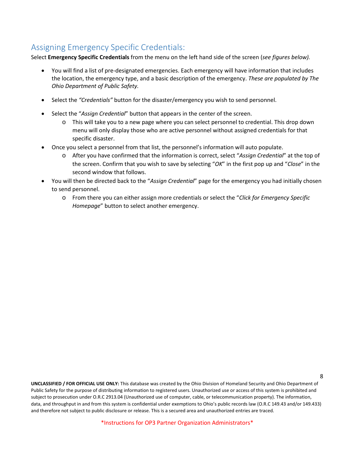## <span id="page-7-0"></span>Assigning Emergency Specific Credentials:

Select **Emergency Specific Credentials** from the menu on the left hand side of the screen (*see figures below).*

- You will find a list of pre-designated emergencies. Each emergency will have information that includes the location, the emergency type, and a basic description of the emergency. *These are populated by The Ohio Department of Public Safety.*
- Select the *"Credentials"* button for the disaster/emergency you wish to send personnel.
- Select the "*Assign Credential*" button that appears in the center of the screen.
	- o This will take you to a new page where you can select personnel to credential. This drop down menu will only display those who are active personnel without assigned credentials for that specific disaster.
- Once you select a personnel from that list, the personnel's information will auto populate.
	- o After you have confirmed that the information is correct, select "*Assign Credential*" at the top of the screen. Confirm that you wish to save by selecting "*OK*" in the first pop up and "*Close*" in the second window that follows.
- You will then be directed back to the "*Assign Credential*" page for the emergency you had initially chosen to send personnel.
	- o From there you can either assign more credentials or select the "*Click for Emergency Specific Homepage*" button to select another emergency.

**UNCLASSIFIED / FOR OFFICIAL USE ONLY:** This database was created by the Ohio Division of Homeland Security and Ohio Department of Public Safety for the purpose of distributing information to registered users. Unauthorized use or access of this system is prohibited and subject to prosecution under O.R.C 2913.04 (Unauthorized use of computer, cable, or telecommunication property). The information, data, and throughput in and from this system is confidential under exemptions to Ohio's public records law (O.R.C 149.43 and/or 149.433) and therefore not subject to public disclosure or release. This is a secured area and unauthorized entries are traced.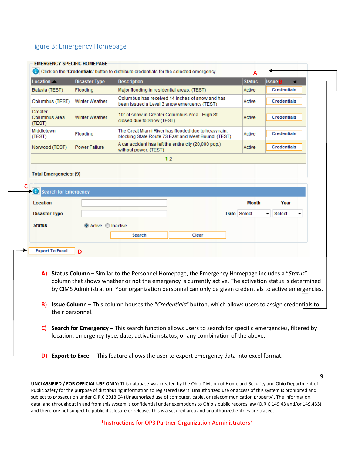#### <span id="page-8-0"></span>Figure 3: Emergency Homepage

| Location                           | <b>Disaster Type</b> | <b>Description</b>                                                                                          | <b>Status</b> | <b>Issue</b>       |
|------------------------------------|----------------------|-------------------------------------------------------------------------------------------------------------|---------------|--------------------|
| Batavia (TEST)                     | Flooding             | Major flooding in residential areas. (TEST)                                                                 | Active        | <b>Credentials</b> |
| Columbus (TEST)                    | Winter Weather       | Columbus has received 14 inches of snow and has<br>been issued a Level 3 snow emergency (TEST)              | Active        | <b>Credentials</b> |
| Greater<br>Columbus Area<br>(TEST) | Winter Weather       | 10" of snow in Greater Columbus Area - High St.<br>closed due to Snow (TEST)                                | Active        | <b>Credentials</b> |
| Middletown<br>(TEST)               | Flooding             | The Great Miami River has flooded due to heavy rain,<br>blocking State Route 73 East and West Bound. (TEST) | Active        | <b>Credentials</b> |
| Norwood (TEST)                     | <b>Power Failure</b> | A car accident has left the entire city (20,000 pop.)<br>without power. (TEST)                              | Active        | <b>Credentials</b> |
|                                    |                      | 12                                                                                                          |               |                    |
| Search for Emergency               |                      |                                                                                                             |               |                    |
| Location                           |                      |                                                                                                             | <b>Month</b>  | Year               |
| <b>Disaster Type</b>               |                      |                                                                                                             | Date Select   | Select             |
| <b>Status</b>                      | Active Inactive      |                                                                                                             |               |                    |
|                                    |                      | Search<br>Clear                                                                                             |               |                    |
|                                    |                      |                                                                                                             |               |                    |
| <b>Export To Excel</b>             | D                    |                                                                                                             |               |                    |

**D) Export to Excel –** This feature allows the user to export emergency data into excel format.

**UNCLASSIFIED / FOR OFFICIAL USE ONLY:** This database was created by the Ohio Division of Homeland Security and Ohio Department of Public Safety for the purpose of distributing information to registered users. Unauthorized use or access of this system is prohibited and subject to prosecution under O.R.C 2913.04 (Unauthorized use of computer, cable, or telecommunication property). The information, data, and throughput in and from this system is confidential under exemptions to Ohio's public records law (O.R.C 149.43 and/or 149.433) and therefore not subject to public disclosure or release. This is a secured area and unauthorized entries are traced.

9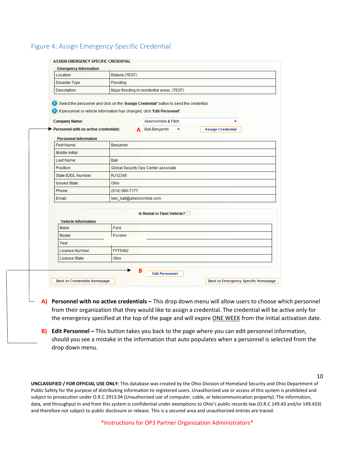#### <span id="page-9-0"></span>Figure 4: Assign Emergency-Specific Credential

| Location                                                                                         | Batavia (TEST)           |                                                                                                                 |                          |
|--------------------------------------------------------------------------------------------------|--------------------------|-----------------------------------------------------------------------------------------------------------------|--------------------------|
| <b>Disaster Type</b>                                                                             | Flooding                 |                                                                                                                 |                          |
| Description                                                                                      |                          | Major flooding in residential areas. (TEST)                                                                     |                          |
| If personnel or vehicle information has changed, click 'Edit Personnel'.<br><b>Company Name:</b> |                          | Select the personnel and click on the 'Assign Credential' button to send the credential.<br>Abercrombie & Fitch | ▼                        |
| Personnel with no active credentials:                                                            |                          | A Ball, Benjamin<br>▼                                                                                           | <b>Assign Credential</b> |
| <b>Personnel Information</b>                                                                     |                          |                                                                                                                 |                          |
| First Name:                                                                                      | Benjamin                 |                                                                                                                 |                          |
| Middle Initial:                                                                                  |                          |                                                                                                                 |                          |
| Last Name:                                                                                       | Ball                     |                                                                                                                 |                          |
| Position:                                                                                        |                          | Global Security Ops Center associate                                                                            |                          |
| State ID/DL Number:                                                                              | RJ12345                  |                                                                                                                 |                          |
| <b>Issued State:</b>                                                                             | Ohio                     |                                                                                                                 |                          |
| Phone:                                                                                           | (614) 580-7177           |                                                                                                                 |                          |
| Email:                                                                                           | ben_ball@abercrombie.com |                                                                                                                 |                          |
| <b>Vehicle Information</b>                                                                       |                          | <b>Is Rental or Fleet Vehicle?</b>                                                                              |                          |
| Make:                                                                                            | Ford                     |                                                                                                                 |                          |
| Model:                                                                                           | Escape                   |                                                                                                                 |                          |
| Year:                                                                                            |                          |                                                                                                                 |                          |
| License Number:                                                                                  | FYT5462                  |                                                                                                                 |                          |
| License State:                                                                                   | Ohio                     |                                                                                                                 |                          |
|                                                                                                  |                          |                                                                                                                 |                          |

- **A) Personnel with no active credentials –** This drop down menu will allow users to choose which personnel from their organization that they would like to assign a credential. The credential will be active only for the emergency specified at the top of the page and will expire ONE WEEK from the initial activation date.
- **B) Edit Personnel –** This button takes you back to the page where you can edit personnel information, should you see a mistake in the information that auto populates when a personnel is selected from the drop down menu.

**UNCLASSIFIED / FOR OFFICIAL USE ONLY:** This database was created by the Ohio Division of Homeland Security and Ohio Department of Public Safety for the purpose of distributing information to registered users. Unauthorized use or access of this system is prohibited and subject to prosecution under O.R.C 2913.04 (Unauthorized use of computer, cable, or telecommunication property). The information, data, and throughput in and from this system is confidential under exemptions to Ohio's public records law (O.R.C 149.43 and/or 149.433) and therefore not subject to public disclosure or release. This is a secured area and unauthorized entries are traced.

\*Instructions for OP3 Partner Organization Administrators\*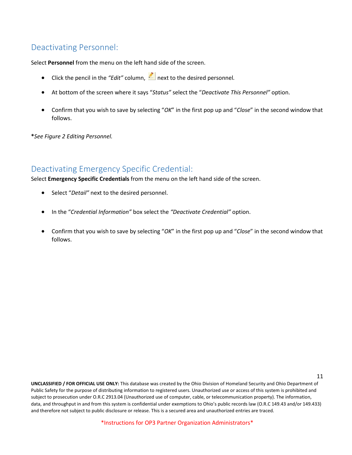## <span id="page-10-0"></span>Deactivating Personnel:

Select **Personnel** from the menu on the left hand side of the screen.

- Click the pencil in the "Edit" column, **inducts** next to the desired personnel.
- At bottom of the screen where it says "*Status"* select the "*Deactivate This Personnel"* option.
- Confirm that you wish to save by selecting "*OK*" in the first pop up and "*Close*" in the second window that follows.

**\****See Figure 2 Editing Personnel.* 

#### <span id="page-10-1"></span>Deactivating Emergency Specific Credential:

Select **Emergency Specific Credentials** from the menu on the left hand side of the screen.

- Select "*Detail"* next to the desired personnel.
- In the "*Credential Information"* box select the *"Deactivate Credential"* option.
- Confirm that you wish to save by selecting "*OK*" in the first pop up and "*Close*" in the second window that follows.

**UNCLASSIFIED / FOR OFFICIAL USE ONLY:** This database was created by the Ohio Division of Homeland Security and Ohio Department of Public Safety for the purpose of distributing information to registered users. Unauthorized use or access of this system is prohibited and subject to prosecution under O.R.C 2913.04 (Unauthorized use of computer, cable, or telecommunication property). The information, data, and throughput in and from this system is confidential under exemptions to Ohio's public records law (O.R.C 149.43 and/or 149.433) and therefore not subject to public disclosure or release. This is a secured area and unauthorized entries are traced.

11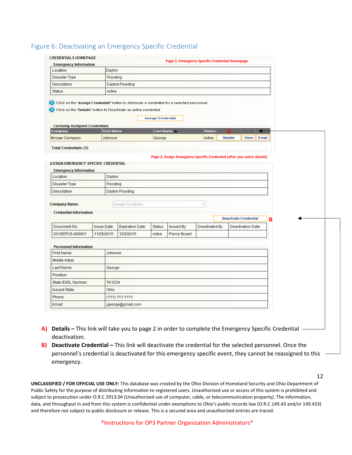#### <span id="page-11-0"></span>Figure 6: Deactivating an Emergency Specific Credential

| <b>CREDENTIALS HOMEPAGE</b>                                                 |                    |                                                                                                                                                                   |                          | Page 1: Emergency Specific Credential Homepage |                         |                |                              |       |  |
|-----------------------------------------------------------------------------|--------------------|-------------------------------------------------------------------------------------------------------------------------------------------------------------------|--------------------------|------------------------------------------------|-------------------------|----------------|------------------------------|-------|--|
| <b>Emergency Information</b>                                                |                    |                                                                                                                                                                   |                          |                                                |                         |                |                              |       |  |
| Location                                                                    | Dayton             |                                                                                                                                                                   |                          |                                                |                         |                |                              |       |  |
| Disaster Type                                                               |                    | Flooding                                                                                                                                                          |                          |                                                |                         |                |                              |       |  |
| Description                                                                 |                    | Dayton Flooding                                                                                                                                                   |                          |                                                |                         |                |                              |       |  |
| <b>Status</b>                                                               | Active             |                                                                                                                                                                   |                          |                                                |                         |                |                              |       |  |
|                                                                             |                    | Click on the 'Assign Credential' button to distribute a credential for a selected personnel.<br>Click on the 'Details' button to Deactivate an active credential. | <b>Assign Credential</b> |                                                |                         |                |                              |       |  |
| <b>Currently Assigned Credentials</b>                                       |                    |                                                                                                                                                                   |                          |                                                |                         |                |                              |       |  |
| Company                                                                     | <b>First Name</b>  |                                                                                                                                                                   | <b>Last Name</b>         |                                                | <b>Status</b>           |                |                              |       |  |
| <b>Kroger Company</b>                                                       | Johnson            |                                                                                                                                                                   | George                   |                                                | Active                  | <b>Details</b> | View                         | Email |  |
| <b>Total Credentials: (1)</b>                                               |                    |                                                                                                                                                                   |                          |                                                |                         |                |                              |       |  |
| <b>ASSIGN EMERGENCY SPECIFIC CREDENTIAL</b><br><b>Emergency Information</b> |                    |                                                                                                                                                                   |                          |                                                |                         |                |                              |       |  |
| Location                                                                    | Dayton             |                                                                                                                                                                   |                          |                                                |                         |                |                              |       |  |
| Disaster Type                                                               |                    | Flooding                                                                                                                                                          |                          |                                                |                         |                |                              |       |  |
| Description                                                                 |                    | Dayton Flooding                                                                                                                                                   |                          |                                                |                         |                |                              |       |  |
| <b>Company Name:</b>                                                        |                    | <b>Kroger Company</b>                                                                                                                                             |                          |                                                | $\overline{\mathbf{v}}$ |                |                              |       |  |
| <b>Credential Information</b>                                               |                    |                                                                                                                                                                   |                          |                                                |                         |                |                              |       |  |
|                                                                             |                    |                                                                                                                                                                   |                          |                                                |                         |                | <b>Deactivate Credential</b> |       |  |
|                                                                             |                    |                                                                                                                                                                   |                          |                                                |                         |                |                              | в     |  |
| Document No:                                                                | <b>Issue Date:</b> | <b>Expiration Date:</b>                                                                                                                                           | Status:                  | <b>Issued By:</b>                              | Deactivated By:         |                | Deactivation Date:           |       |  |
| 2015EPCS-000001                                                             | 11/25/2015         | 12/2/2015                                                                                                                                                         | Active                   | Pierce Bryant                                  |                         |                |                              |       |  |
|                                                                             |                    |                                                                                                                                                                   |                          |                                                |                         |                |                              |       |  |
| <b>Personnel Information</b>                                                |                    |                                                                                                                                                                   |                          |                                                |                         |                |                              |       |  |
| First Name:                                                                 |                    | Johnson                                                                                                                                                           |                          |                                                |                         |                |                              |       |  |
| Middle Initial:                                                             |                    |                                                                                                                                                                   |                          |                                                |                         |                |                              |       |  |
| Last Name:                                                                  | George             |                                                                                                                                                                   |                          |                                                |                         |                |                              |       |  |
| Position:                                                                   |                    |                                                                                                                                                                   |                          |                                                |                         |                |                              |       |  |
| State ID/DL Number:                                                         |                    | <b>TK1234</b>                                                                                                                                                     |                          |                                                |                         |                |                              |       |  |
| <b>Issued State:</b>                                                        | Ohio               |                                                                                                                                                                   |                          |                                                |                         |                |                              |       |  |
| Phone:                                                                      |                    | $(111) 111 - 1111$                                                                                                                                                |                          |                                                |                         |                |                              |       |  |

- **A) Details –** This link will take you to page 2 in order to complete the Emergency Specific Credential deactivation.
- **B) Deactivate Credential –** This link will deactivate the credential for the selected personnel. Once the personnel's credential is deactivated for this emergency specific event, they cannot be reassigned to this emergency.

**UNCLASSIFIED / FOR OFFICIAL USE ONLY:** This database was created by the Ohio Division of Homeland Security and Ohio Department of Public Safety for the purpose of distributing information to registered users. Unauthorized use or access of this system is prohibited and subject to prosecution under O.R.C 2913.04 (Unauthorized use of computer, cable, or telecommunication property). The information, data, and throughput in and from this system is confidential under exemptions to Ohio's public records law (O.R.C 149.43 and/or 149.433) and therefore not subject to public disclosure or release. This is a secured area and unauthorized entries are traced.

\*Instructions for OP3 Partner Organization Administrators\*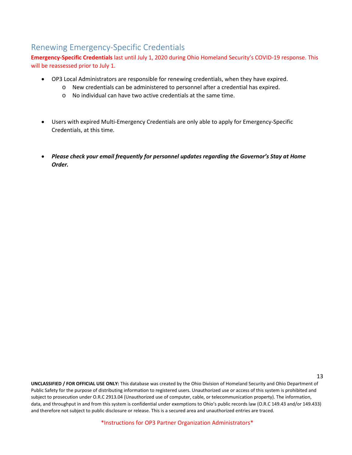## <span id="page-12-0"></span>Renewing Emergency-Specific Credentials

**Emergency-Specific Credentials** last until July 1, 2020 during Ohio Homeland Security's COVID-19 response. This will be reassessed prior to July 1.

- OP3 Local Administrators are responsible for renewing credentials, when they have expired.
	- o New credentials can be administered to personnel after a credential has expired.
	- o No individual can have two active credentials at the same time.
- Users with expired Multi-Emergency Credentials are only able to apply for Emergency-Specific Credentials, at this time.
- *Please check your email frequently for personnel updates regarding the Governor's Stay at Home Order.*

**UNCLASSIFIED / FOR OFFICIAL USE ONLY:** This database was created by the Ohio Division of Homeland Security and Ohio Department of Public Safety for the purpose of distributing information to registered users. Unauthorized use or access of this system is prohibited and subject to prosecution under O.R.C 2913.04 (Unauthorized use of computer, cable, or telecommunication property). The information, data, and throughput in and from this system is confidential under exemptions to Ohio's public records law (O.R.C 149.43 and/or 149.433) and therefore not subject to public disclosure or release. This is a secured area and unauthorized entries are traced.